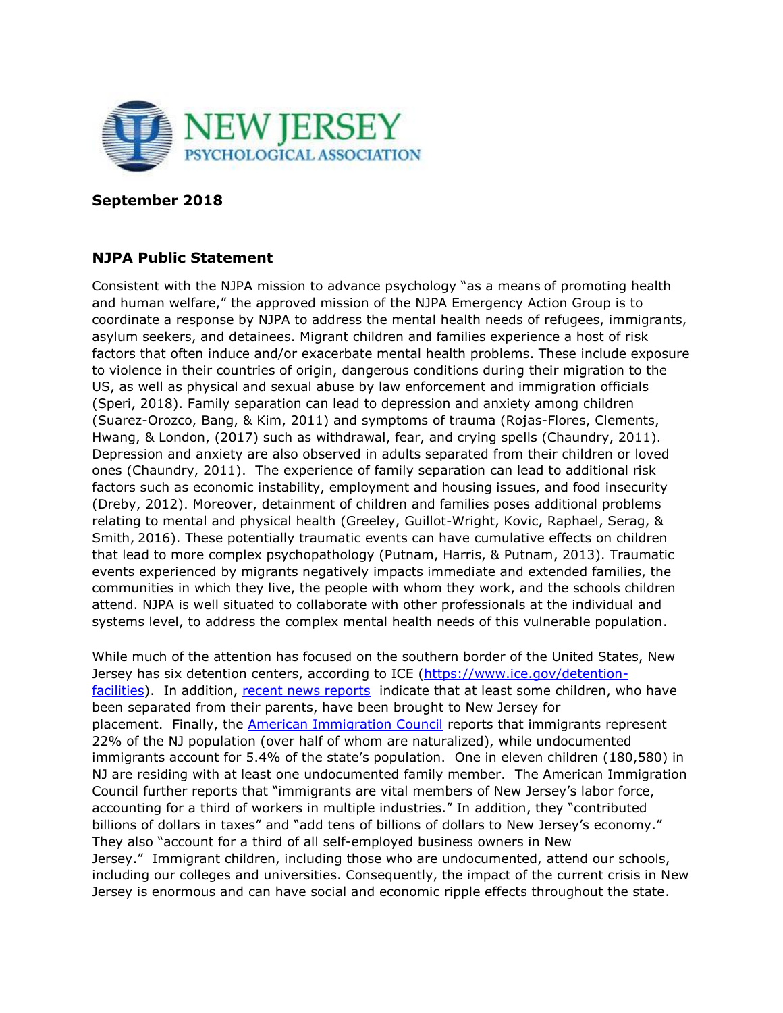

## **September 2018**

## **NJPA Public Statement**

Consistent with the NJPA mission to advance psychology "as a means of promoting health and human welfare," the approved mission of the NJPA Emergency Action Group is to coordinate a response by NJPA to address the mental health needs of refugees, immigrants, asylum seekers, and detainees. Migrant children and families experience a host of risk factors that often induce and/or exacerbate mental health problems. These include exposure to violence in their countries of origin, dangerous conditions during their migration to the US, as well as physical and sexual abuse by law enforcement and immigration officials (Speri, 2018). Family separation can lead to depression and anxiety among children (Suarez-Orozco, Bang, & Kim, 2011) and symptoms of trauma (Rojas-Flores, Clements, Hwang, & London, (2017) such as withdrawal, fear, and crying spells (Chaundry, 2011). Depression and anxiety are also observed in adults separated from their children or loved ones (Chaundry, 2011). The experience of family separation can lead to additional risk factors such as economic instability, employment and housing issues, and food insecurity (Dreby, 2012). Moreover, detainment of children and families poses additional problems relating to mental and physical health (Greeley, Guillot-Wright, Kovic, Raphael, Serag, & Smith, 2016). These potentially traumatic events can have cumulative effects on children that lead to more complex psychopathology (Putnam, Harris, & Putnam, 2013). Traumatic events experienced by migrants negatively impacts immediate and extended families, the communities in which they live, the people with whom they work, and the schools children attend. NJPA is well situated to collaborate with other professionals at the individual and systems level, to address the complex mental health needs of this vulnerable population.

While much of the attention has focused on the southern border of the United States, New Jersey has six detention centers, according to ICE [\(https://www.ice.gov/detention](https://www.ice.gov/detention-facilities)[facilities\)](https://www.ice.gov/detention-facilities). In addition, [recent news reports](https://www.nj.com/news/index.ssf/2018/06/are_immigrant_kids_being_held_in_nj_heres_how_trum.html) indicate that at least some children, who have been separated from their parents, have been brought to New Jersey for placement. Finally, the **[American Immigration Council](https://www.americanimmigrationcouncil.org/research/immigrants-in-new-jersey)** reports that immigrants represent 22% of the NJ population (over half of whom are naturalized), while undocumented immigrants account for 5.4% of the state's population. One in eleven children (180,580) in NJ are residing with at least one undocumented family member. The American Immigration Council further reports that "immigrants are vital members of New Jersey's labor force, accounting for a third of workers in multiple industries." In addition, they "contributed billions of dollars in taxes" and "add tens of billions of dollars to New Jersey's economy." They also "account for a third of all self-employed business owners in New Jersey." Immigrant children, including those who are undocumented, attend our schools, including our colleges and universities. Consequently, the impact of the current crisis in New Jersey is enormous and can have social and economic ripple effects throughout the state.